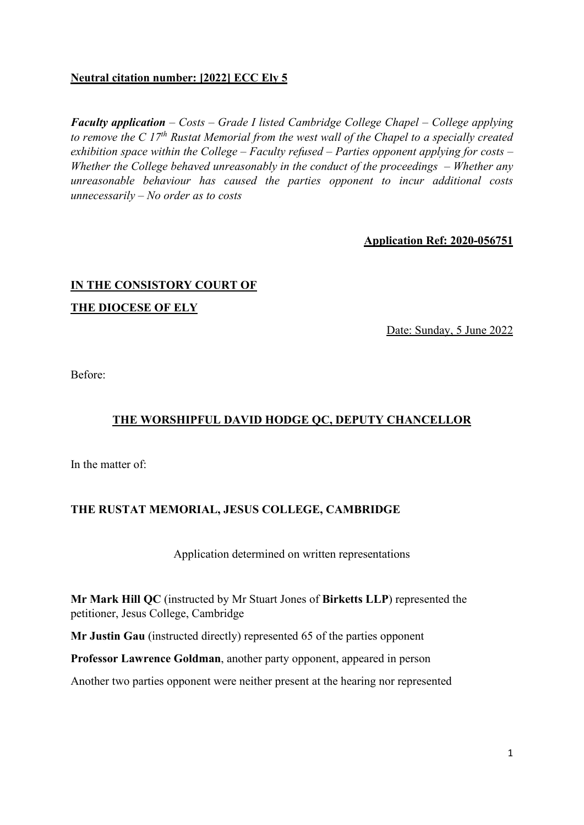# **Neutral citation number: [2022] ECC Ely 5**

*Faculty application – Costs – Grade I listed Cambridge College Chapel – College applying to remove the C 17th Rustat Memorial from the west wall of the Chapel to a specially created exhibition space within the College – Faculty refused – Parties opponent applying for costs – Whether the College behaved unreasonably in the conduct of the proceedings – Whether any unreasonable behaviour has caused the parties opponent to incur additional costs unnecessarily – No order as to costs* 

**Application Ref: 2020-056751** 

# **IN THE CONSISTORY COURT OF THE DIOCESE OF ELY**

Date: Sunday, 5 June 2022

Before:

# **THE WORSHIPFUL DAVID HODGE QC, DEPUTY CHANCELLOR**

In the matter of:

### **THE RUSTAT MEMORIAL, JESUS COLLEGE, CAMBRIDGE**

Application determined on written representations

**Mr Mark Hill QC** (instructed by Mr Stuart Jones of **Birketts LLP**) represented the petitioner, Jesus College, Cambridge

**Mr Justin Gau** (instructed directly) represented 65 of the parties opponent

**Professor Lawrence Goldman**, another party opponent, appeared in person

Another two parties opponent were neither present at the hearing nor represented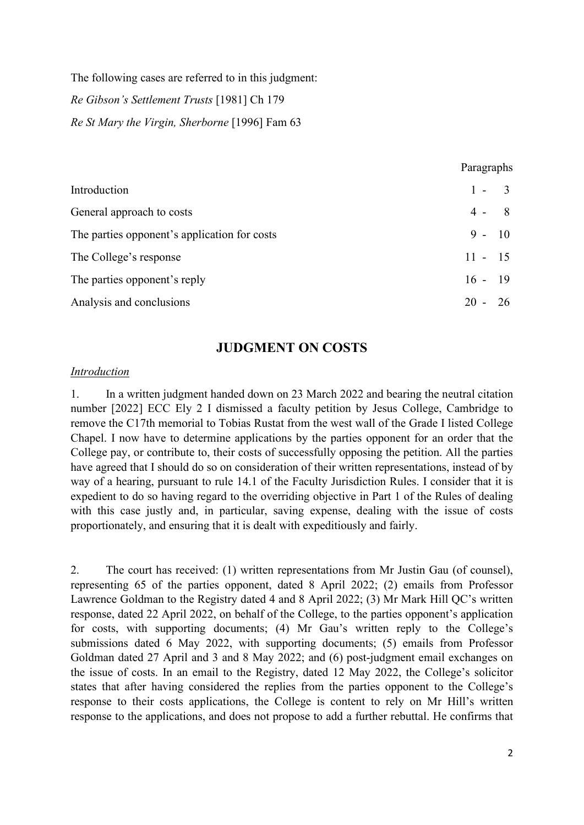The following cases are referred to in this judgment: *Re Gibson's Settlement Trusts* [1981] Ch 179

*Re St Mary the Virgin, Sherborne* [1996] Fam 63

|                                              | Paragraphs |  |
|----------------------------------------------|------------|--|
| Introduction                                 | $1 - 3$    |  |
| General approach to costs                    | $4 - 8$    |  |
| The parties opponent's application for costs | $9 - 10$   |  |
| The College's response                       | $11 - 15$  |  |
| The parties opponent's reply                 | $16 - 19$  |  |
| Analysis and conclusions                     | $20 - 26$  |  |

# **JUDGMENT ON COSTS**

### *Introduction*

1. In a written judgment handed down on 23 March 2022 and bearing the neutral citation number [2022] ECC Ely 2 I dismissed a faculty petition by Jesus College, Cambridge to remove the C17th memorial to Tobias Rustat from the west wall of the Grade I listed College Chapel. I now have to determine applications by the parties opponent for an order that the College pay, or contribute to, their costs of successfully opposing the petition. All the parties have agreed that I should do so on consideration of their written representations, instead of by way of a hearing, pursuant to rule 14.1 of the Faculty Jurisdiction Rules. I consider that it is expedient to do so having regard to the overriding objective in Part 1 of the Rules of dealing with this case justly and, in particular, saving expense, dealing with the issue of costs proportionately, and ensuring that it is dealt with expeditiously and fairly.

2. The court has received: (1) written representations from Mr Justin Gau (of counsel), representing 65 of the parties opponent, dated 8 April 2022; (2) emails from Professor Lawrence Goldman to the Registry dated 4 and 8 April 2022; (3) Mr Mark Hill QC's written response, dated 22 April 2022, on behalf of the College, to the parties opponent's application for costs, with supporting documents; (4) Mr Gau's written reply to the College's submissions dated 6 May 2022, with supporting documents; (5) emails from Professor Goldman dated 27 April and 3 and 8 May 2022; and (6) post-judgment email exchanges on the issue of costs. In an email to the Registry, dated 12 May 2022, the College's solicitor states that after having considered the replies from the parties opponent to the College's response to their costs applications, the College is content to rely on Mr Hill's written response to the applications, and does not propose to add a further rebuttal. He confirms that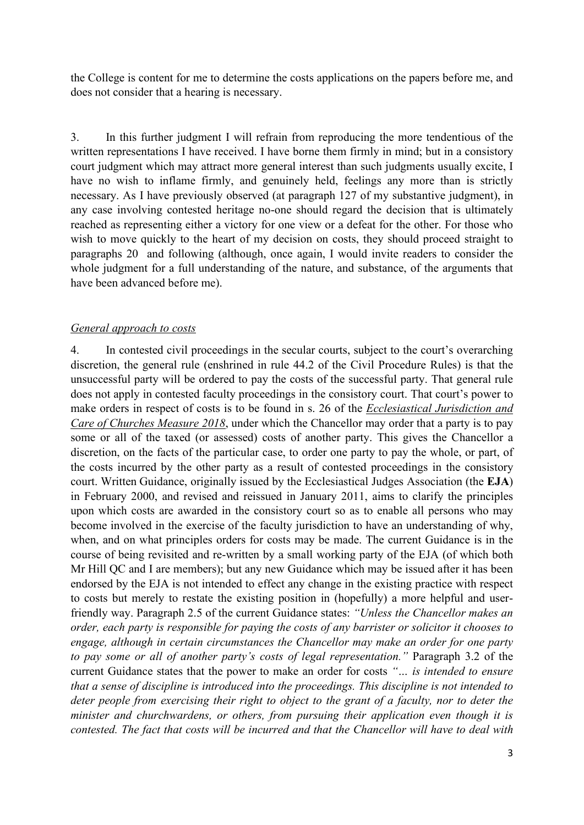the College is content for me to determine the costs applications on the papers before me, and does not consider that a hearing is necessary.

3. In this further judgment I will refrain from reproducing the more tendentious of the written representations I have received. I have borne them firmly in mind; but in a consistory court judgment which may attract more general interest than such judgments usually excite, I have no wish to inflame firmly, and genuinely held, feelings any more than is strictly necessary. As I have previously observed (at paragraph 127 of my substantive judgment), in any case involving contested heritage no-one should regard the decision that is ultimately reached as representing either a victory for one view or a defeat for the other. For those who wish to move quickly to the heart of my decision on costs, they should proceed straight to paragraphs 20 and following (although, once again, I would invite readers to consider the whole judgment for a full understanding of the nature, and substance, of the arguments that have been advanced before me).

#### *General approach to costs*

4. In contested civil proceedings in the secular courts, subject to the court's overarching discretion, the general rule (enshrined in rule 44.2 of the Civil Procedure Rules) is that the unsuccessful party will be ordered to pay the costs of the successful party. That general rule does not apply in contested faculty proceedings in the consistory court. That court's power to make orders in respect of costs is to be found in s. 26 of the *Ecclesiastical Jurisdiction and Care of Churches Measure 2018*, under which the Chancellor may order that a party is to pay some or all of the taxed (or assessed) costs of another party. This gives the Chancellor a discretion, on the facts of the particular case, to order one party to pay the whole, or part, of the costs incurred by the other party as a result of contested proceedings in the consistory court. Written Guidance, originally issued by the Ecclesiastical Judges Association (the **EJA**) in February 2000, and revised and reissued in January 2011, aims to clarify the principles upon which costs are awarded in the consistory court so as to enable all persons who may become involved in the exercise of the faculty jurisdiction to have an understanding of why, when, and on what principles orders for costs may be made. The current Guidance is in the course of being revisited and re-written by a small working party of the EJA (of which both Mr Hill QC and I are members); but any new Guidance which may be issued after it has been endorsed by the EJA is not intended to effect any change in the existing practice with respect to costs but merely to restate the existing position in (hopefully) a more helpful and userfriendly way. Paragraph 2.5 of the current Guidance states: *"Unless the Chancellor makes an order, each party is responsible for paying the costs of any barrister or solicitor it chooses to engage, although in certain circumstances the Chancellor may make an order for one party to pay some or all of another party's costs of legal representation."* Paragraph 3.2 of the current Guidance states that the power to make an order for costs *"… is intended to ensure that a sense of discipline is introduced into the proceedings. This discipline is not intended to deter people from exercising their right to object to the grant of a faculty, nor to deter the minister and churchwardens, or others, from pursuing their application even though it is contested. The fact that costs will be incurred and that the Chancellor will have to deal with*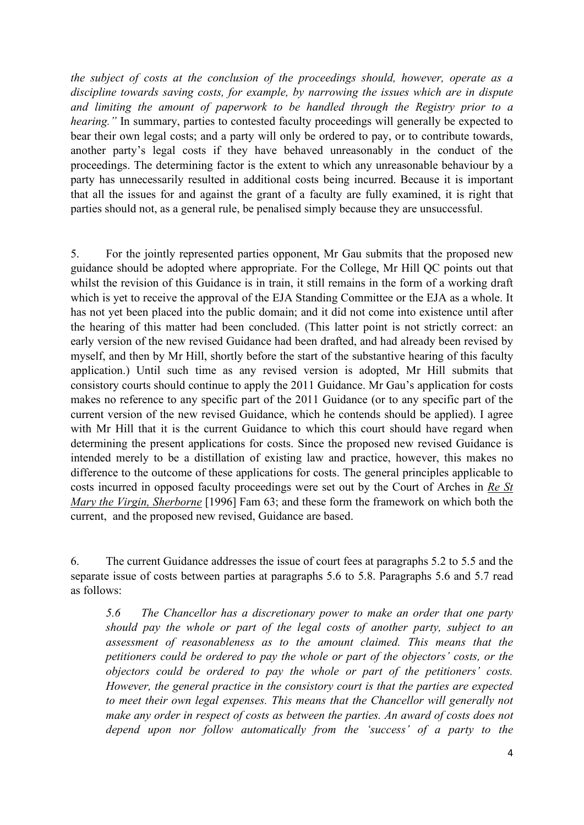*the subject of costs at the conclusion of the proceedings should, however, operate as a discipline towards saving costs, for example, by narrowing the issues which are in dispute and limiting the amount of paperwork to be handled through the Registry prior to a hearing."* In summary, parties to contested faculty proceedings will generally be expected to bear their own legal costs; and a party will only be ordered to pay, or to contribute towards, another party's legal costs if they have behaved unreasonably in the conduct of the proceedings. The determining factor is the extent to which any unreasonable behaviour by a party has unnecessarily resulted in additional costs being incurred. Because it is important that all the issues for and against the grant of a faculty are fully examined, it is right that parties should not, as a general rule, be penalised simply because they are unsuccessful.

5. For the jointly represented parties opponent, Mr Gau submits that the proposed new guidance should be adopted where appropriate. For the College, Mr Hill QC points out that whilst the revision of this Guidance is in train, it still remains in the form of a working draft which is yet to receive the approval of the EJA Standing Committee or the EJA as a whole. It has not yet been placed into the public domain; and it did not come into existence until after the hearing of this matter had been concluded. (This latter point is not strictly correct: an early version of the new revised Guidance had been drafted, and had already been revised by myself, and then by Mr Hill, shortly before the start of the substantive hearing of this faculty application.) Until such time as any revised version is adopted, Mr Hill submits that consistory courts should continue to apply the 2011 Guidance. Mr Gau's application for costs makes no reference to any specific part of the 2011 Guidance (or to any specific part of the current version of the new revised Guidance, which he contends should be applied). I agree with Mr Hill that it is the current Guidance to which this court should have regard when determining the present applications for costs. Since the proposed new revised Guidance is intended merely to be a distillation of existing law and practice, however, this makes no difference to the outcome of these applications for costs. The general principles applicable to costs incurred in opposed faculty proceedings were set out by the Court of Arches in *Re St Mary the Virgin, Sherborne* [1996] Fam 63; and these form the framework on which both the current, and the proposed new revised, Guidance are based.

6. The current Guidance addresses the issue of court fees at paragraphs 5.2 to 5.5 and the separate issue of costs between parties at paragraphs 5.6 to 5.8. Paragraphs 5.6 and 5.7 read as follows:

*5.6 The Chancellor has a discretionary power to make an order that one party should pay the whole or part of the legal costs of another party, subject to an assessment of reasonableness as to the amount claimed. This means that the petitioners could be ordered to pay the whole or part of the objectors' costs, or the objectors could be ordered to pay the whole or part of the petitioners' costs. However, the general practice in the consistory court is that the parties are expected to meet their own legal expenses. This means that the Chancellor will generally not make any order in respect of costs as between the parties. An award of costs does not depend upon nor follow automatically from the 'success' of a party to the*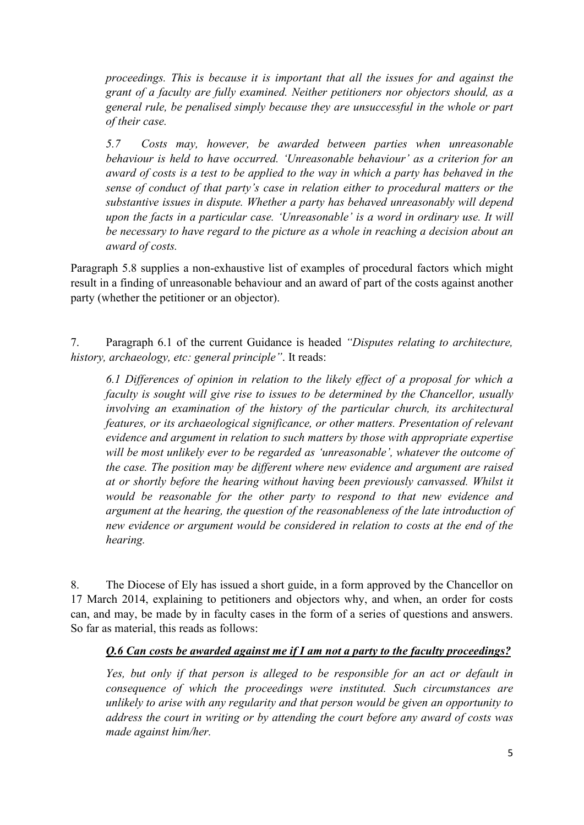*proceedings. This is because it is important that all the issues for and against the grant of a faculty are fully examined. Neither petitioners nor objectors should, as a general rule, be penalised simply because they are unsuccessful in the whole or part of their case.* 

*5.7 Costs may, however, be awarded between parties when unreasonable behaviour is held to have occurred. 'Unreasonable behaviour' as a criterion for an award of costs is a test to be applied to the way in which a party has behaved in the sense of conduct of that party's case in relation either to procedural matters or the substantive issues in dispute. Whether a party has behaved unreasonably will depend upon the facts in a particular case. 'Unreasonable' is a word in ordinary use. It will be necessary to have regard to the picture as a whole in reaching a decision about an award of costs.* 

Paragraph 5.8 supplies a non-exhaustive list of examples of procedural factors which might result in a finding of unreasonable behaviour and an award of part of the costs against another party (whether the petitioner or an objector).

7. Paragraph 6.1 of the current Guidance is headed *"Disputes relating to architecture, history, archaeology, etc: general principle"*. It reads:

*6.1 Differences of opinion in relation to the likely effect of a proposal for which a faculty is sought will give rise to issues to be determined by the Chancellor, usually involving an examination of the history of the particular church, its architectural features, or its archaeological significance, or other matters. Presentation of relevant evidence and argument in relation to such matters by those with appropriate expertise will be most unlikely ever to be regarded as 'unreasonable', whatever the outcome of the case. The position may be different where new evidence and argument are raised at or shortly before the hearing without having been previously canvassed. Whilst it would be reasonable for the other party to respond to that new evidence and argument at the hearing, the question of the reasonableness of the late introduction of new evidence or argument would be considered in relation to costs at the end of the hearing.* 

8. The Diocese of Ely has issued a short guide, in a form approved by the Chancellor on 17 March 2014, explaining to petitioners and objectors why, and when, an order for costs can, and may, be made by in faculty cases in the form of a series of questions and answers. So far as material, this reads as follows:

### *Q.6 Can costs be awarded against me if I am not a party to the faculty proceedings?*

*Yes, but only if that person is alleged to be responsible for an act or default in consequence of which the proceedings were instituted. Such circumstances are unlikely to arise with any regularity and that person would be given an opportunity to address the court in writing or by attending the court before any award of costs was made against him/her.*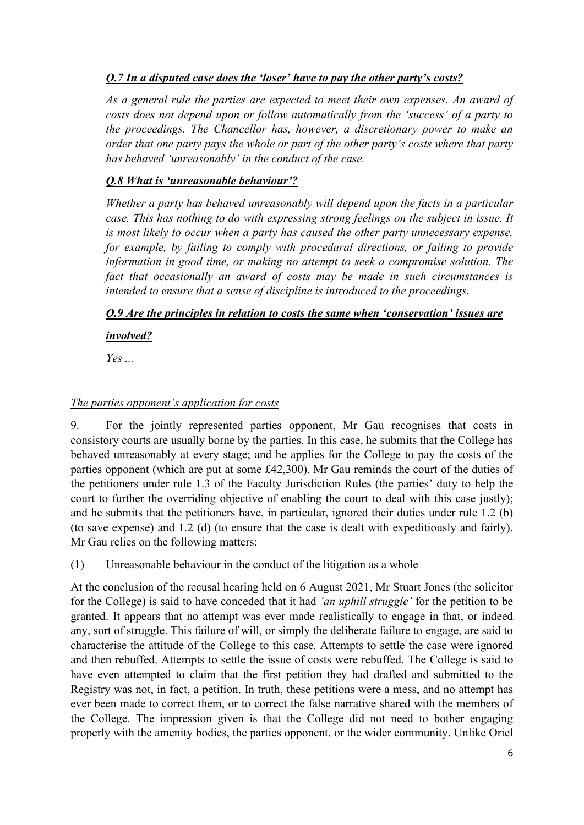# *Q.7 In a disputed case does the 'loser' have to pay the other party's costs?*

*As a general rule the parties are expected to meet their own expenses. An award of costs does not depend upon or follow automatically from the 'success' of a party to the proceedings. The Chancellor has, however, a discretionary power to make an order that one party pays the whole or part of the other party's costs where that party has behaved 'unreasonably' in the conduct of the case.* 

# *Q.8 What is 'unreasonable behaviour'?*

*Whether a party has behaved unreasonably will depend upon the facts in a particular case. This has nothing to do with expressing strong feelings on the subject in issue. It is most likely to occur when a party has caused the other party unnecessary expense, for example, by failing to comply with procedural directions, or failing to provide information in good time, or making no attempt to seek a compromise solution. The fact that occasionally an award of costs may be made in such circumstances is intended to ensure that a sense of discipline is introduced to the proceedings.* 

# *Q.9 Are the principles in relation to costs the same when 'conservation' issues are*

*involved?* 

*Yes ...* 

# *The parties opponent's application for costs*

9. For the jointly represented parties opponent, Mr Gau recognises that costs in consistory courts are usually borne by the parties. In this case, he submits that the College has behaved unreasonably at every stage; and he applies for the College to pay the costs of the parties opponent (which are put at some £42,300). Mr Gau reminds the court of the duties of the petitioners under rule 1.3 of the Faculty Jurisdiction Rules (the parties' duty to help the court to further the overriding objective of enabling the court to deal with this case justly); and he submits that the petitioners have, in particular, ignored their duties under rule 1.2 (b) (to save expense) and 1.2 (d) (to ensure that the case is dealt with expeditiously and fairly). Mr Gau relies on the following matters:

(1) Unreasonable behaviour in the conduct of the litigation as a whole

At the conclusion of the recusal hearing held on 6 August 2021, Mr Stuart Jones (the solicitor for the College) is said to have conceded that it had *'an uphill struggle'* for the petition to be granted. It appears that no attempt was ever made realistically to engage in that, or indeed any, sort of struggle. This failure of will, or simply the deliberate failure to engage, are said to characterise the attitude of the College to this case. Attempts to settle the case were ignored and then rebuffed. Attempts to settle the issue of costs were rebuffed. The College is said to have even attempted to claim that the first petition they had drafted and submitted to the Registry was not, in fact, a petition. In truth, these petitions were a mess, and no attempt has ever been made to correct them, or to correct the false narrative shared with the members of the College. The impression given is that the College did not need to bother engaging properly with the amenity bodies, the parties opponent, or the wider community. Unlike Oriel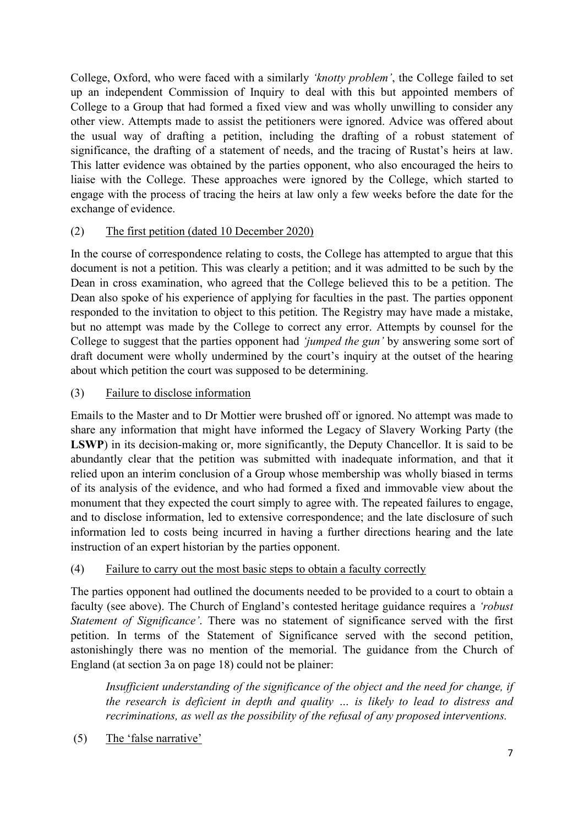College, Oxford, who were faced with a similarly *'knotty problem'*, the College failed to set up an independent Commission of Inquiry to deal with this but appointed members of College to a Group that had formed a fixed view and was wholly unwilling to consider any other view. Attempts made to assist the petitioners were ignored. Advice was offered about the usual way of drafting a petition, including the drafting of a robust statement of significance, the drafting of a statement of needs, and the tracing of Rustat's heirs at law. This latter evidence was obtained by the parties opponent, who also encouraged the heirs to liaise with the College. These approaches were ignored by the College, which started to engage with the process of tracing the heirs at law only a few weeks before the date for the exchange of evidence.

# (2) The first petition (dated 10 December 2020)

In the course of correspondence relating to costs, the College has attempted to argue that this document is not a petition. This was clearly a petition; and it was admitted to be such by the Dean in cross examination, who agreed that the College believed this to be a petition. The Dean also spoke of his experience of applying for faculties in the past. The parties opponent responded to the invitation to object to this petition. The Registry may have made a mistake, but no attempt was made by the College to correct any error. Attempts by counsel for the College to suggest that the parties opponent had *'jumped the gun'* by answering some sort of draft document were wholly undermined by the court's inquiry at the outset of the hearing about which petition the court was supposed to be determining.

# (3) Failure to disclose information

Emails to the Master and to Dr Mottier were brushed off or ignored. No attempt was made to share any information that might have informed the Legacy of Slavery Working Party (the LSWP) in its decision-making or, more significantly, the Deputy Chancellor. It is said to be abundantly clear that the petition was submitted with inadequate information, and that it relied upon an interim conclusion of a Group whose membership was wholly biased in terms of its analysis of the evidence, and who had formed a fixed and immovable view about the monument that they expected the court simply to agree with. The repeated failures to engage, and to disclose information, led to extensive correspondence; and the late disclosure of such information led to costs being incurred in having a further directions hearing and the late instruction of an expert historian by the parties opponent.

### (4) Failure to carry out the most basic steps to obtain a faculty correctly

The parties opponent had outlined the documents needed to be provided to a court to obtain a faculty (see above). The Church of England's contested heritage guidance requires a *'robust Statement of Significance'*. There was no statement of significance served with the first petition. In terms of the Statement of Significance served with the second petition, astonishingly there was no mention of the memorial. The guidance from the Church of England (at section 3a on page 18) could not be plainer:

*Insufficient understanding of the significance of the object and the need for change, if the research is deficient in depth and quality … is likely to lead to distress and recriminations, as well as the possibility of the refusal of any proposed interventions.* 

(5) The 'false narrative'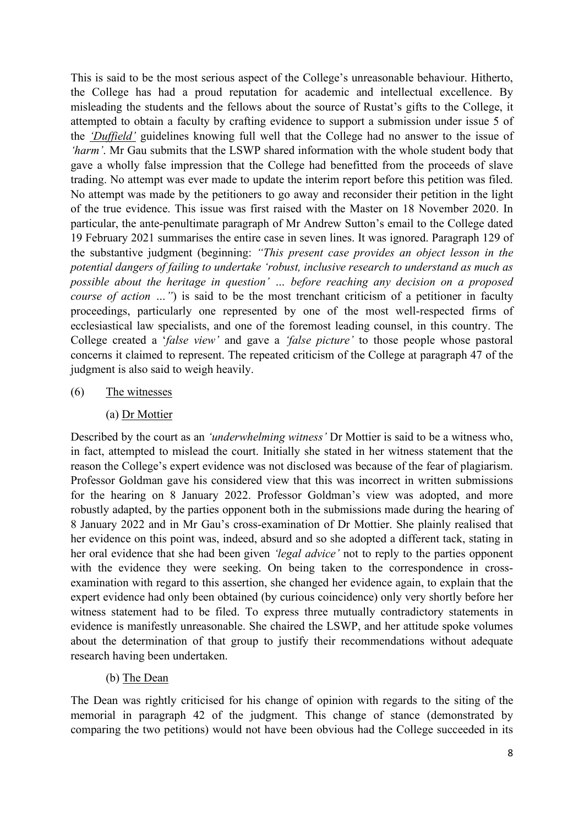This is said to be the most serious aspect of the College's unreasonable behaviour. Hitherto, the College has had a proud reputation for academic and intellectual excellence. By misleading the students and the fellows about the source of Rustat's gifts to the College, it attempted to obtain a faculty by crafting evidence to support a submission under issue 5 of the *'Duffield'* guidelines knowing full well that the College had no answer to the issue of *'harm'*. Mr Gau submits that the LSWP shared information with the whole student body that gave a wholly false impression that the College had benefitted from the proceeds of slave trading. No attempt was ever made to update the interim report before this petition was filed. No attempt was made by the petitioners to go away and reconsider their petition in the light of the true evidence. This issue was first raised with the Master on 18 November 2020. In particular, the ante-penultimate paragraph of Mr Andrew Sutton's email to the College dated 19 February 2021 summarises the entire case in seven lines. It was ignored. Paragraph 129 of the substantive judgment (beginning: *"This present case provides an object lesson in the potential dangers of failing to undertake 'robust, inclusive research to understand as much as possible about the heritage in question' … before reaching any decision on a proposed course of action ...*") is said to be the most trenchant criticism of a petitioner in faculty proceedings, particularly one represented by one of the most well-respected firms of ecclesiastical law specialists, and one of the foremost leading counsel, in this country. The College created a '*false view'* and gave a *'false picture'* to those people whose pastoral concerns it claimed to represent. The repeated criticism of the College at paragraph 47 of the judgment is also said to weigh heavily.

- (6) The witnesses
	- (a) Dr Mottier

Described by the court as an *'underwhelming witness'* Dr Mottier is said to be a witness who, in fact, attempted to mislead the court. Initially she stated in her witness statement that the reason the College's expert evidence was not disclosed was because of the fear of plagiarism. Professor Goldman gave his considered view that this was incorrect in written submissions for the hearing on 8 January 2022. Professor Goldman's view was adopted, and more robustly adapted, by the parties opponent both in the submissions made during the hearing of 8 January 2022 and in Mr Gau's cross-examination of Dr Mottier. She plainly realised that her evidence on this point was, indeed, absurd and so she adopted a different tack, stating in her oral evidence that she had been given *'legal advice'* not to reply to the parties opponent with the evidence they were seeking. On being taken to the correspondence in crossexamination with regard to this assertion, she changed her evidence again, to explain that the expert evidence had only been obtained (by curious coincidence) only very shortly before her witness statement had to be filed. To express three mutually contradictory statements in evidence is manifestly unreasonable. She chaired the LSWP, and her attitude spoke volumes about the determination of that group to justify their recommendations without adequate research having been undertaken.

(b) The Dean

The Dean was rightly criticised for his change of opinion with regards to the siting of the memorial in paragraph 42 of the judgment. This change of stance (demonstrated by comparing the two petitions) would not have been obvious had the College succeeded in its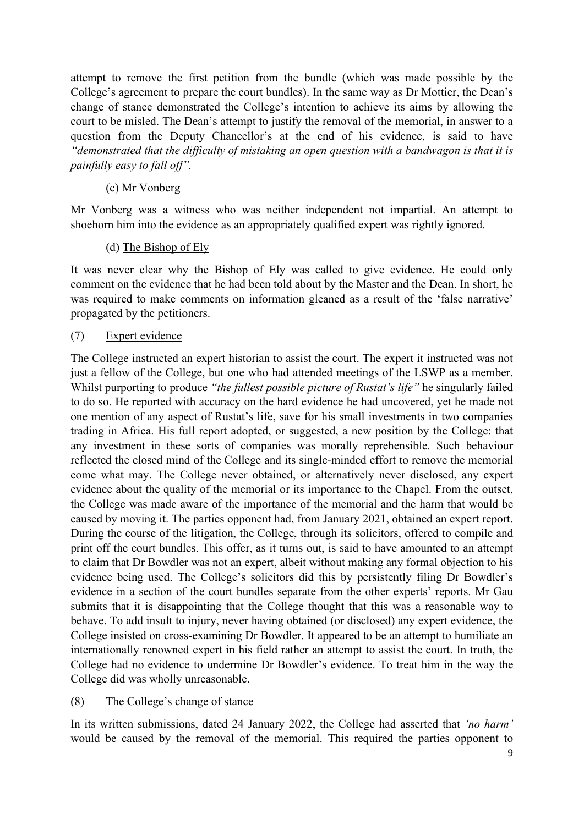attempt to remove the first petition from the bundle (which was made possible by the College's agreement to prepare the court bundles). In the same way as Dr Mottier, the Dean's change of stance demonstrated the College's intention to achieve its aims by allowing the court to be misled. The Dean's attempt to justify the removal of the memorial, in answer to a question from the Deputy Chancellor's at the end of his evidence, is said to have *"demonstrated that the difficulty of mistaking an open question with a bandwagon is that it is painfully easy to fall off".* 

### (c) Mr Vonberg

Mr Vonberg was a witness who was neither independent not impartial. An attempt to shoehorn him into the evidence as an appropriately qualified expert was rightly ignored.

### (d) The Bishop of Ely

It was never clear why the Bishop of Ely was called to give evidence. He could only comment on the evidence that he had been told about by the Master and the Dean. In short, he was required to make comments on information gleaned as a result of the 'false narrative' propagated by the petitioners.

### (7) Expert evidence

The College instructed an expert historian to assist the court. The expert it instructed was not just a fellow of the College, but one who had attended meetings of the LSWP as a member. Whilst purporting to produce *"the fullest possible picture of Rustat's life"* he singularly failed to do so. He reported with accuracy on the hard evidence he had uncovered, yet he made not one mention of any aspect of Rustat's life, save for his small investments in two companies trading in Africa. His full report adopted, or suggested, a new position by the College: that any investment in these sorts of companies was morally reprehensible. Such behaviour reflected the closed mind of the College and its single-minded effort to remove the memorial come what may. The College never obtained, or alternatively never disclosed, any expert evidence about the quality of the memorial or its importance to the Chapel. From the outset, the College was made aware of the importance of the memorial and the harm that would be caused by moving it. The parties opponent had, from January 2021, obtained an expert report. During the course of the litigation, the College, through its solicitors, offered to compile and print off the court bundles. This offer, as it turns out, is said to have amounted to an attempt to claim that Dr Bowdler was not an expert, albeit without making any formal objection to his evidence being used. The College's solicitors did this by persistently filing Dr Bowdler's evidence in a section of the court bundles separate from the other experts' reports. Mr Gau submits that it is disappointing that the College thought that this was a reasonable way to behave. To add insult to injury, never having obtained (or disclosed) any expert evidence, the College insisted on cross-examining Dr Bowdler. It appeared to be an attempt to humiliate an internationally renowned expert in his field rather an attempt to assist the court. In truth, the College had no evidence to undermine Dr Bowdler's evidence. To treat him in the way the College did was wholly unreasonable.

#### (8) The College's change of stance

In its written submissions, dated 24 January 2022, the College had asserted that *'no harm'* would be caused by the removal of the memorial. This required the parties opponent to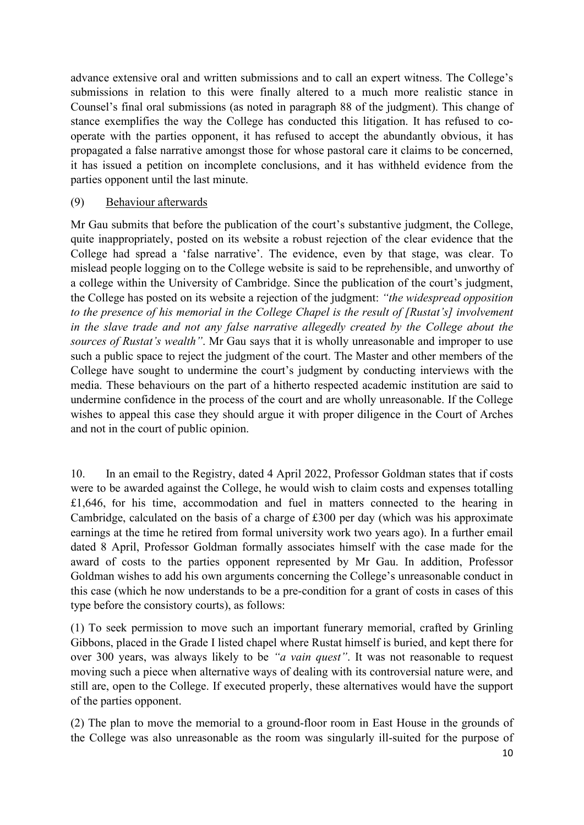advance extensive oral and written submissions and to call an expert witness. The College's submissions in relation to this were finally altered to a much more realistic stance in Counsel's final oral submissions (as noted in paragraph 88 of the judgment). This change of stance exemplifies the way the College has conducted this litigation. It has refused to cooperate with the parties opponent, it has refused to accept the abundantly obvious, it has propagated a false narrative amongst those for whose pastoral care it claims to be concerned, it has issued a petition on incomplete conclusions, and it has withheld evidence from the parties opponent until the last minute.

### (9) Behaviour afterwards

Mr Gau submits that before the publication of the court's substantive judgment, the College, quite inappropriately, posted on its website a robust rejection of the clear evidence that the College had spread a 'false narrative'. The evidence, even by that stage, was clear. To mislead people logging on to the College website is said to be reprehensible, and unworthy of a college within the University of Cambridge. Since the publication of the court's judgment, the College has posted on its website a rejection of the judgment: *"the widespread opposition to the presence of his memorial in the College Chapel is the result of [Rustat's] involvement in the slave trade and not any false narrative allegedly created by the College about the sources of Rustat's wealth"*. Mr Gau says that it is wholly unreasonable and improper to use such a public space to reject the judgment of the court. The Master and other members of the College have sought to undermine the court's judgment by conducting interviews with the media. These behaviours on the part of a hitherto respected academic institution are said to undermine confidence in the process of the court and are wholly unreasonable. If the College wishes to appeal this case they should argue it with proper diligence in the Court of Arches and not in the court of public opinion.

10. In an email to the Registry, dated 4 April 2022, Professor Goldman states that if costs were to be awarded against the College, he would wish to claim costs and expenses totalling £1,646, for his time, accommodation and fuel in matters connected to the hearing in Cambridge, calculated on the basis of a charge of £300 per day (which was his approximate earnings at the time he retired from formal university work two years ago). In a further email dated 8 April, Professor Goldman formally associates himself with the case made for the award of costs to the parties opponent represented by Mr Gau. In addition, Professor Goldman wishes to add his own arguments concerning the College's unreasonable conduct in this case (which he now understands to be a pre-condition for a grant of costs in cases of this type before the consistory courts), as follows:

(1) To seek permission to move such an important funerary memorial, crafted by Grinling Gibbons, placed in the Grade I listed chapel where Rustat himself is buried, and kept there for over 300 years, was always likely to be *"a vain quest"*. It was not reasonable to request moving such a piece when alternative ways of dealing with its controversial nature were, and still are, open to the College. If executed properly, these alternatives would have the support of the parties opponent.

(2) The plan to move the memorial to a ground-floor room in East House in the grounds of the College was also unreasonable as the room was singularly ill-suited for the purpose of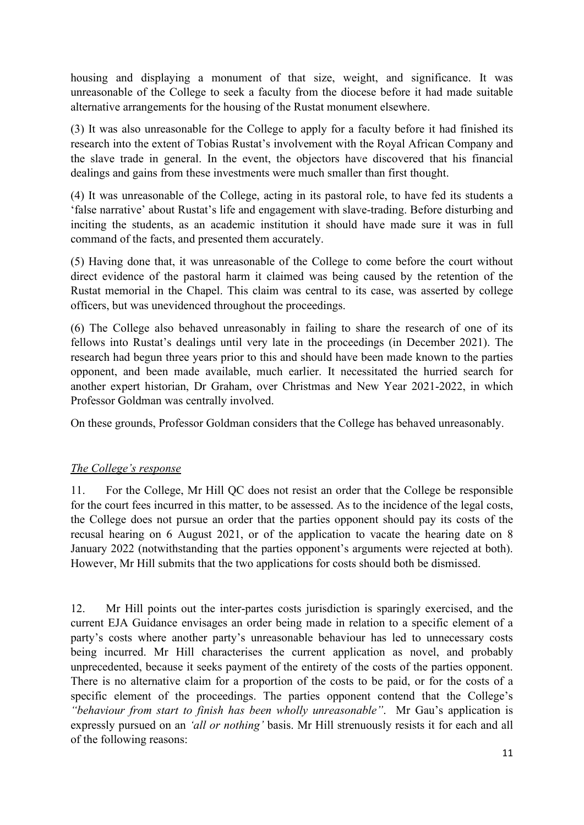housing and displaying a monument of that size, weight, and significance. It was unreasonable of the College to seek a faculty from the diocese before it had made suitable alternative arrangements for the housing of the Rustat monument elsewhere.

(3) It was also unreasonable for the College to apply for a faculty before it had finished its research into the extent of Tobias Rustat's involvement with the Royal African Company and the slave trade in general. In the event, the objectors have discovered that his financial dealings and gains from these investments were much smaller than first thought.

(4) It was unreasonable of the College, acting in its pastoral role, to have fed its students a 'false narrative' about Rustat's life and engagement with slave-trading. Before disturbing and inciting the students, as an academic institution it should have made sure it was in full command of the facts, and presented them accurately.

(5) Having done that, it was unreasonable of the College to come before the court without direct evidence of the pastoral harm it claimed was being caused by the retention of the Rustat memorial in the Chapel. This claim was central to its case, was asserted by college officers, but was unevidenced throughout the proceedings.

(6) The College also behaved unreasonably in failing to share the research of one of its fellows into Rustat's dealings until very late in the proceedings (in December 2021). The research had begun three years prior to this and should have been made known to the parties opponent, and been made available, much earlier. It necessitated the hurried search for another expert historian, Dr Graham, over Christmas and New Year 2021-2022, in which Professor Goldman was centrally involved.

On these grounds, Professor Goldman considers that the College has behaved unreasonably.

### *The College's response*

11. For the College, Mr Hill QC does not resist an order that the College be responsible for the court fees incurred in this matter, to be assessed. As to the incidence of the legal costs, the College does not pursue an order that the parties opponent should pay its costs of the recusal hearing on 6 August 2021, or of the application to vacate the hearing date on 8 January 2022 (notwithstanding that the parties opponent's arguments were rejected at both). However, Mr Hill submits that the two applications for costs should both be dismissed.

12. Mr Hill points out the inter-partes costs jurisdiction is sparingly exercised, and the current EJA Guidance envisages an order being made in relation to a specific element of a party's costs where another party's unreasonable behaviour has led to unnecessary costs being incurred. Mr Hill characterises the current application as novel, and probably unprecedented, because it seeks payment of the entirety of the costs of the parties opponent. There is no alternative claim for a proportion of the costs to be paid, or for the costs of a specific element of the proceedings. The parties opponent contend that the College's *"behaviour from start to finish has been wholly unreasonable"*. Mr Gau's application is expressly pursued on an *'all or nothing'* basis. Mr Hill strenuously resists it for each and all of the following reasons: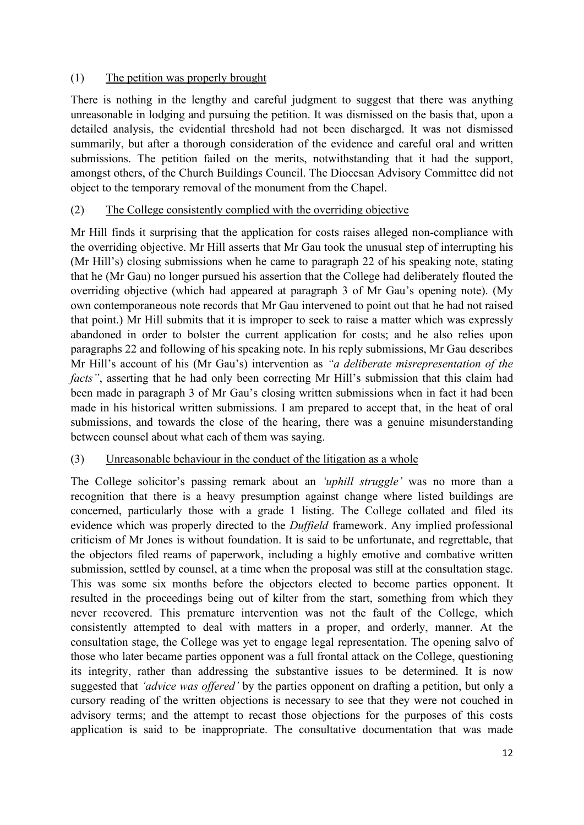# (1) The petition was properly brought

There is nothing in the lengthy and careful judgment to suggest that there was anything unreasonable in lodging and pursuing the petition. It was dismissed on the basis that, upon a detailed analysis, the evidential threshold had not been discharged. It was not dismissed summarily, but after a thorough consideration of the evidence and careful oral and written submissions. The petition failed on the merits, notwithstanding that it had the support, amongst others, of the Church Buildings Council. The Diocesan Advisory Committee did not object to the temporary removal of the monument from the Chapel.

# (2) The College consistently complied with the overriding objective

Mr Hill finds it surprising that the application for costs raises alleged non-compliance with the overriding objective. Mr Hill asserts that Mr Gau took the unusual step of interrupting his (Mr Hill's) closing submissions when he came to paragraph 22 of his speaking note, stating that he (Mr Gau) no longer pursued his assertion that the College had deliberately flouted the overriding objective (which had appeared at paragraph 3 of Mr Gau's opening note). (My own contemporaneous note records that Mr Gau intervened to point out that he had not raised that point.) Mr Hill submits that it is improper to seek to raise a matter which was expressly abandoned in order to bolster the current application for costs; and he also relies upon paragraphs 22 and following of his speaking note. In his reply submissions, Mr Gau describes Mr Hill's account of his (Mr Gau's) intervention as *"a deliberate misrepresentation of the facts*", asserting that he had only been correcting Mr Hill's submission that this claim had been made in paragraph 3 of Mr Gau's closing written submissions when in fact it had been made in his historical written submissions. I am prepared to accept that, in the heat of oral submissions, and towards the close of the hearing, there was a genuine misunderstanding between counsel about what each of them was saying.

### (3) Unreasonable behaviour in the conduct of the litigation as a whole

The College solicitor's passing remark about an *'uphill struggle'* was no more than a recognition that there is a heavy presumption against change where listed buildings are concerned, particularly those with a grade 1 listing. The College collated and filed its evidence which was properly directed to the *Duffield* framework. Any implied professional criticism of Mr Jones is without foundation. It is said to be unfortunate, and regrettable, that the objectors filed reams of paperwork, including a highly emotive and combative written submission, settled by counsel, at a time when the proposal was still at the consultation stage. This was some six months before the objectors elected to become parties opponent. It resulted in the proceedings being out of kilter from the start, something from which they never recovered. This premature intervention was not the fault of the College, which consistently attempted to deal with matters in a proper, and orderly, manner. At the consultation stage, the College was yet to engage legal representation. The opening salvo of those who later became parties opponent was a full frontal attack on the College, questioning its integrity, rather than addressing the substantive issues to be determined. It is now suggested that *'advice was offered'* by the parties opponent on drafting a petition, but only a cursory reading of the written objections is necessary to see that they were not couched in advisory terms; and the attempt to recast those objections for the purposes of this costs application is said to be inappropriate. The consultative documentation that was made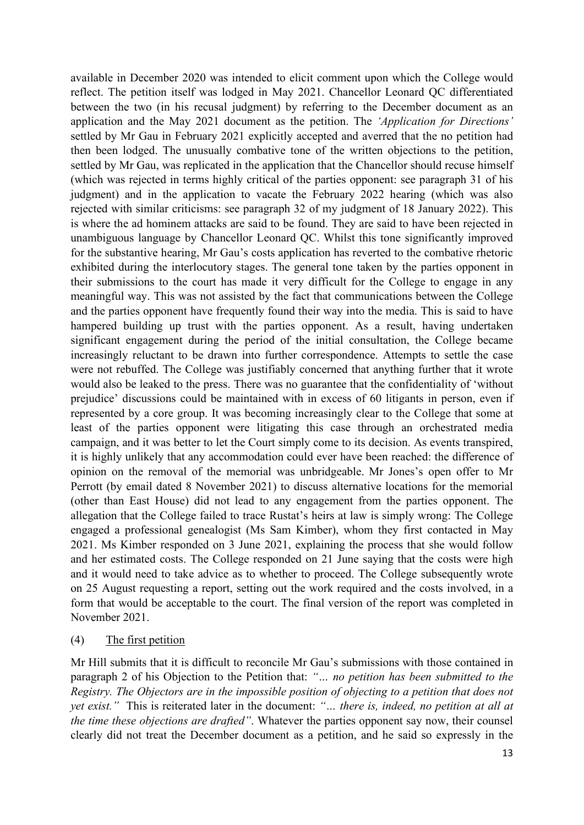available in December 2020 was intended to elicit comment upon which the College would reflect. The petition itself was lodged in May 2021. Chancellor Leonard QC differentiated between the two (in his recusal judgment) by referring to the December document as an application and the May 2021 document as the petition. The *'Application for Directions'* settled by Mr Gau in February 2021 explicitly accepted and averred that the no petition had then been lodged. The unusually combative tone of the written objections to the petition, settled by Mr Gau, was replicated in the application that the Chancellor should recuse himself (which was rejected in terms highly critical of the parties opponent: see paragraph 31 of his judgment) and in the application to vacate the February 2022 hearing (which was also rejected with similar criticisms: see paragraph 32 of my judgment of 18 January 2022). This is where the ad hominem attacks are said to be found. They are said to have been rejected in unambiguous language by Chancellor Leonard QC. Whilst this tone significantly improved for the substantive hearing, Mr Gau's costs application has reverted to the combative rhetoric exhibited during the interlocutory stages. The general tone taken by the parties opponent in their submissions to the court has made it very difficult for the College to engage in any meaningful way. This was not assisted by the fact that communications between the College and the parties opponent have frequently found their way into the media. This is said to have hampered building up trust with the parties opponent. As a result, having undertaken significant engagement during the period of the initial consultation, the College became increasingly reluctant to be drawn into further correspondence. Attempts to settle the case were not rebuffed. The College was justifiably concerned that anything further that it wrote would also be leaked to the press. There was no guarantee that the confidentiality of 'without prejudice' discussions could be maintained with in excess of 60 litigants in person, even if represented by a core group. It was becoming increasingly clear to the College that some at least of the parties opponent were litigating this case through an orchestrated media campaign, and it was better to let the Court simply come to its decision. As events transpired, it is highly unlikely that any accommodation could ever have been reached: the difference of opinion on the removal of the memorial was unbridgeable. Mr Jones's open offer to Mr Perrott (by email dated 8 November 2021) to discuss alternative locations for the memorial (other than East House) did not lead to any engagement from the parties opponent. The allegation that the College failed to trace Rustat's heirs at law is simply wrong: The College engaged a professional genealogist (Ms Sam Kimber), whom they first contacted in May 2021. Ms Kimber responded on 3 June 2021, explaining the process that she would follow and her estimated costs. The College responded on 21 June saying that the costs were high and it would need to take advice as to whether to proceed. The College subsequently wrote on 25 August requesting a report, setting out the work required and the costs involved, in a form that would be acceptable to the court. The final version of the report was completed in November 2021.

(4) The first petition

Mr Hill submits that it is difficult to reconcile Mr Gau's submissions with those contained in paragraph 2 of his Objection to the Petition that: *"… no petition has been submitted to the Registry. The Objectors are in the impossible position of objecting to a petition that does not yet exist."* This is reiterated later in the document: *"… there is, indeed, no petition at all at the time these objections are drafted"*. Whatever the parties opponent say now, their counsel clearly did not treat the December document as a petition, and he said so expressly in the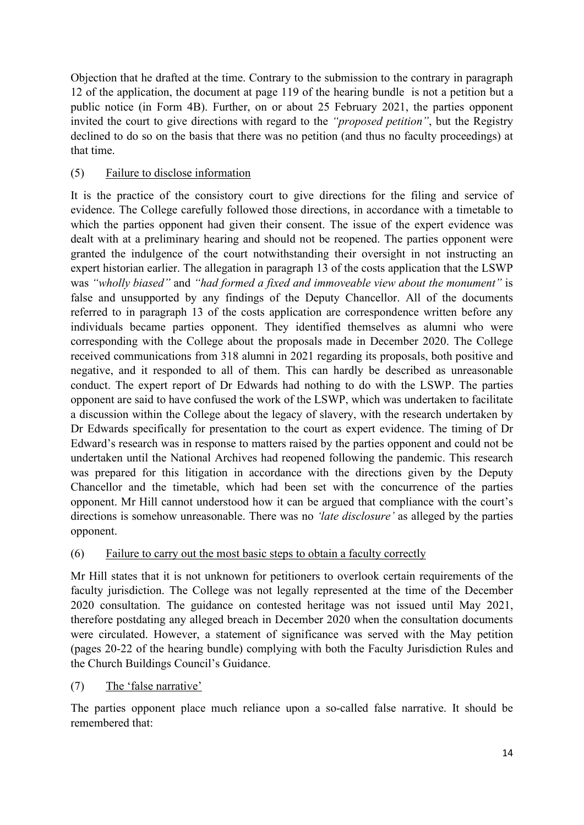Objection that he drafted at the time. Contrary to the submission to the contrary in paragraph 12 of the application, the document at page 119 of the hearing bundle is not a petition but a public notice (in Form 4B). Further, on or about 25 February 2021, the parties opponent invited the court to give directions with regard to the *"proposed petition"*, but the Registry declined to do so on the basis that there was no petition (and thus no faculty proceedings) at that time.

# (5) Failure to disclose information

It is the practice of the consistory court to give directions for the filing and service of evidence. The College carefully followed those directions, in accordance with a timetable to which the parties opponent had given their consent. The issue of the expert evidence was dealt with at a preliminary hearing and should not be reopened. The parties opponent were granted the indulgence of the court notwithstanding their oversight in not instructing an expert historian earlier. The allegation in paragraph 13 of the costs application that the LSWP was *"wholly biased"* and *"had formed a fixed and immoveable view about the monument"* is false and unsupported by any findings of the Deputy Chancellor. All of the documents referred to in paragraph 13 of the costs application are correspondence written before any individuals became parties opponent. They identified themselves as alumni who were corresponding with the College about the proposals made in December 2020. The College received communications from 318 alumni in 2021 regarding its proposals, both positive and negative, and it responded to all of them. This can hardly be described as unreasonable conduct. The expert report of Dr Edwards had nothing to do with the LSWP. The parties opponent are said to have confused the work of the LSWP, which was undertaken to facilitate a discussion within the College about the legacy of slavery, with the research undertaken by Dr Edwards specifically for presentation to the court as expert evidence. The timing of Dr Edward's research was in response to matters raised by the parties opponent and could not be undertaken until the National Archives had reopened following the pandemic. This research was prepared for this litigation in accordance with the directions given by the Deputy Chancellor and the timetable, which had been set with the concurrence of the parties opponent. Mr Hill cannot understood how it can be argued that compliance with the court's directions is somehow unreasonable. There was no *'late disclosure'* as alleged by the parties opponent.

### (6) Failure to carry out the most basic steps to obtain a faculty correctly

Mr Hill states that it is not unknown for petitioners to overlook certain requirements of the faculty jurisdiction. The College was not legally represented at the time of the December 2020 consultation. The guidance on contested heritage was not issued until May 2021, therefore postdating any alleged breach in December 2020 when the consultation documents were circulated. However, a statement of significance was served with the May petition (pages 20-22 of the hearing bundle) complying with both the Faculty Jurisdiction Rules and the Church Buildings Council's Guidance.

### (7) The 'false narrative'

The parties opponent place much reliance upon a so-called false narrative. It should be remembered that: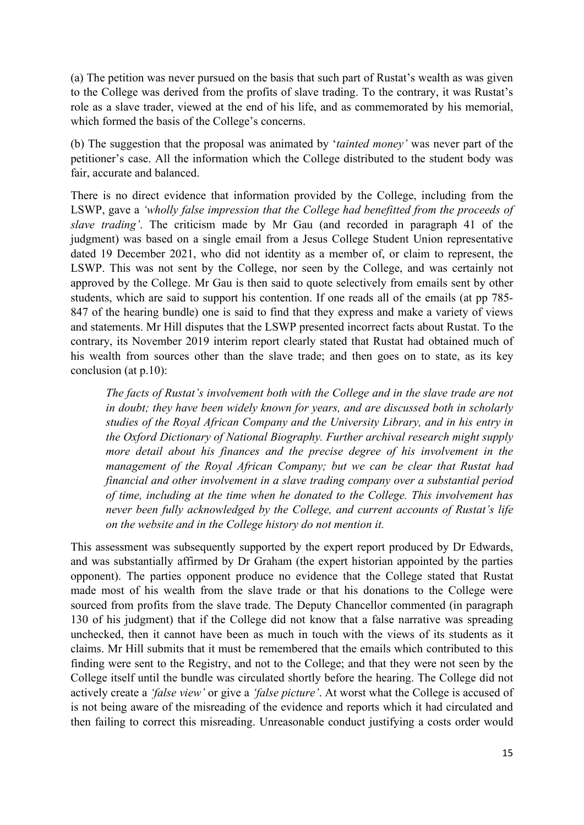(a) The petition was never pursued on the basis that such part of Rustat's wealth as was given to the College was derived from the profits of slave trading. To the contrary, it was Rustat's role as a slave trader, viewed at the end of his life, and as commemorated by his memorial, which formed the basis of the College's concerns.

(b) The suggestion that the proposal was animated by '*tainted money'* was never part of the petitioner's case. All the information which the College distributed to the student body was fair, accurate and balanced.

There is no direct evidence that information provided by the College, including from the LSWP, gave a *'wholly false impression that the College had benefitted from the proceeds of slave trading'*. The criticism made by Mr Gau (and recorded in paragraph 41 of the judgment) was based on a single email from a Jesus College Student Union representative dated 19 December 2021, who did not identity as a member of, or claim to represent, the LSWP. This was not sent by the College, nor seen by the College, and was certainly not approved by the College. Mr Gau is then said to quote selectively from emails sent by other students, which are said to support his contention. If one reads all of the emails (at pp 785- 847 of the hearing bundle) one is said to find that they express and make a variety of views and statements. Mr Hill disputes that the LSWP presented incorrect facts about Rustat. To the contrary, its November 2019 interim report clearly stated that Rustat had obtained much of his wealth from sources other than the slave trade; and then goes on to state, as its key conclusion (at p.10):

*The facts of Rustat's involvement both with the College and in the slave trade are not in doubt; they have been widely known for years, and are discussed both in scholarly studies of the Royal African Company and the University Library, and in his entry in the Oxford Dictionary of National Biography. Further archival research might supply more detail about his finances and the precise degree of his involvement in the management of the Royal African Company; but we can be clear that Rustat had financial and other involvement in a slave trading company over a substantial period of time, including at the time when he donated to the College. This involvement has never been fully acknowledged by the College, and current accounts of Rustat's life on the website and in the College history do not mention it.* 

This assessment was subsequently supported by the expert report produced by Dr Edwards, and was substantially affirmed by Dr Graham (the expert historian appointed by the parties opponent). The parties opponent produce no evidence that the College stated that Rustat made most of his wealth from the slave trade or that his donations to the College were sourced from profits from the slave trade. The Deputy Chancellor commented (in paragraph 130 of his judgment) that if the College did not know that a false narrative was spreading unchecked, then it cannot have been as much in touch with the views of its students as it claims. Mr Hill submits that it must be remembered that the emails which contributed to this finding were sent to the Registry, and not to the College; and that they were not seen by the College itself until the bundle was circulated shortly before the hearing. The College did not actively create a *'false view'* or give a *'false picture'*. At worst what the College is accused of is not being aware of the misreading of the evidence and reports which it had circulated and then failing to correct this misreading. Unreasonable conduct justifying a costs order would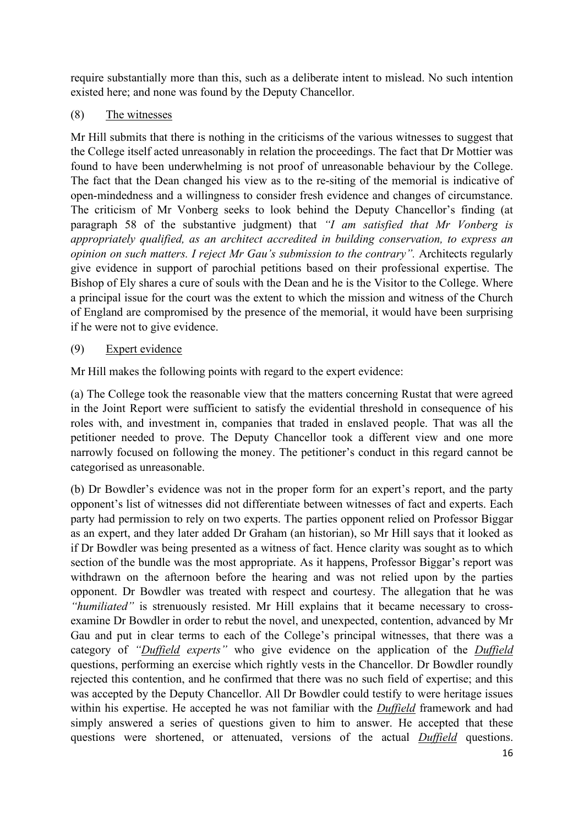require substantially more than this, such as a deliberate intent to mislead. No such intention existed here; and none was found by the Deputy Chancellor.

### (8) The witnesses

Mr Hill submits that there is nothing in the criticisms of the various witnesses to suggest that the College itself acted unreasonably in relation the proceedings. The fact that Dr Mottier was found to have been underwhelming is not proof of unreasonable behaviour by the College. The fact that the Dean changed his view as to the re-siting of the memorial is indicative of open-mindedness and a willingness to consider fresh evidence and changes of circumstance. The criticism of Mr Vonberg seeks to look behind the Deputy Chancellor's finding (at paragraph 58 of the substantive judgment) that *"I am satisfied that Mr Vonberg is appropriately qualified, as an architect accredited in building conservation, to express an opinion on such matters. I reject Mr Gau's submission to the contrary".* Architects regularly give evidence in support of parochial petitions based on their professional expertise. The Bishop of Ely shares a cure of souls with the Dean and he is the Visitor to the College. Where a principal issue for the court was the extent to which the mission and witness of the Church of England are compromised by the presence of the memorial, it would have been surprising if he were not to give evidence.

# (9) Expert evidence

Mr Hill makes the following points with regard to the expert evidence:

(a) The College took the reasonable view that the matters concerning Rustat that were agreed in the Joint Report were sufficient to satisfy the evidential threshold in consequence of his roles with, and investment in, companies that traded in enslaved people. That was all the petitioner needed to prove. The Deputy Chancellor took a different view and one more narrowly focused on following the money. The petitioner's conduct in this regard cannot be categorised as unreasonable.

(b) Dr Bowdler's evidence was not in the proper form for an expert's report, and the party opponent's list of witnesses did not differentiate between witnesses of fact and experts. Each party had permission to rely on two experts. The parties opponent relied on Professor Biggar as an expert, and they later added Dr Graham (an historian), so Mr Hill says that it looked as if Dr Bowdler was being presented as a witness of fact. Hence clarity was sought as to which section of the bundle was the most appropriate. As it happens, Professor Biggar's report was withdrawn on the afternoon before the hearing and was not relied upon by the parties opponent. Dr Bowdler was treated with respect and courtesy. The allegation that he was *"humiliated"* is strenuously resisted. Mr Hill explains that it became necessary to crossexamine Dr Bowdler in order to rebut the novel, and unexpected, contention, advanced by Mr Gau and put in clear terms to each of the College's principal witnesses, that there was a category of *"Duffield experts"* who give evidence on the application of the *Duffield* questions, performing an exercise which rightly vests in the Chancellor. Dr Bowdler roundly rejected this contention, and he confirmed that there was no such field of expertise; and this was accepted by the Deputy Chancellor. All Dr Bowdler could testify to were heritage issues within his expertise. He accepted he was not familiar with the *Duffield* framework and had simply answered a series of questions given to him to answer. He accepted that these questions were shortened, or attenuated, versions of the actual *Duffield* questions.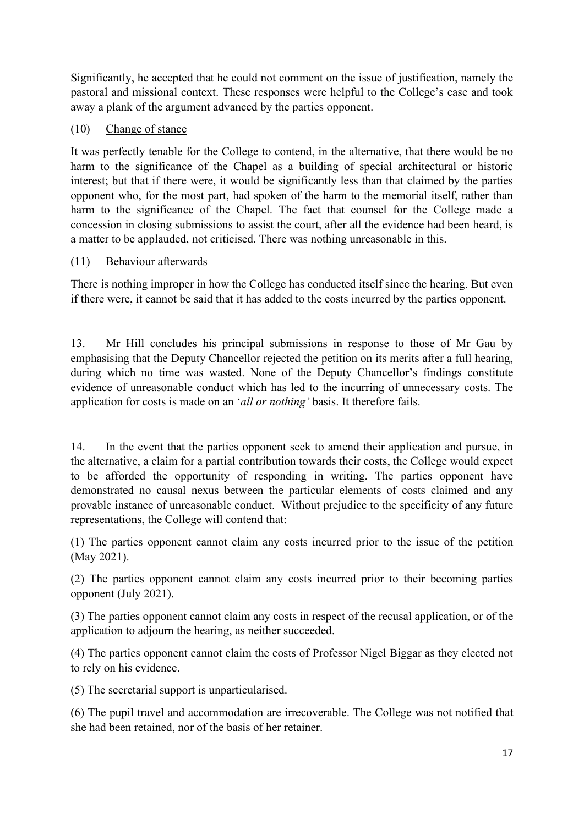Significantly, he accepted that he could not comment on the issue of justification, namely the pastoral and missional context. These responses were helpful to the College's case and took away a plank of the argument advanced by the parties opponent.

# (10) Change of stance

It was perfectly tenable for the College to contend, in the alternative, that there would be no harm to the significance of the Chapel as a building of special architectural or historic interest; but that if there were, it would be significantly less than that claimed by the parties opponent who, for the most part, had spoken of the harm to the memorial itself, rather than harm to the significance of the Chapel. The fact that counsel for the College made a concession in closing submissions to assist the court, after all the evidence had been heard, is a matter to be applauded, not criticised. There was nothing unreasonable in this.

# (11) Behaviour afterwards

There is nothing improper in how the College has conducted itself since the hearing. But even if there were, it cannot be said that it has added to the costs incurred by the parties opponent.

13. Mr Hill concludes his principal submissions in response to those of Mr Gau by emphasising that the Deputy Chancellor rejected the petition on its merits after a full hearing, during which no time was wasted. None of the Deputy Chancellor's findings constitute evidence of unreasonable conduct which has led to the incurring of unnecessary costs. The application for costs is made on an '*all or nothing'* basis. It therefore fails.

14. In the event that the parties opponent seek to amend their application and pursue, in the alternative, a claim for a partial contribution towards their costs, the College would expect to be afforded the opportunity of responding in writing. The parties opponent have demonstrated no causal nexus between the particular elements of costs claimed and any provable instance of unreasonable conduct. Without prejudice to the specificity of any future representations, the College will contend that:

(1) The parties opponent cannot claim any costs incurred prior to the issue of the petition (May 2021).

(2) The parties opponent cannot claim any costs incurred prior to their becoming parties opponent (July 2021).

(3) The parties opponent cannot claim any costs in respect of the recusal application, or of the application to adjourn the hearing, as neither succeeded.

(4) The parties opponent cannot claim the costs of Professor Nigel Biggar as they elected not to rely on his evidence.

(5) The secretarial support is unparticularised.

(6) The pupil travel and accommodation are irrecoverable. The College was not notified that she had been retained, nor of the basis of her retainer.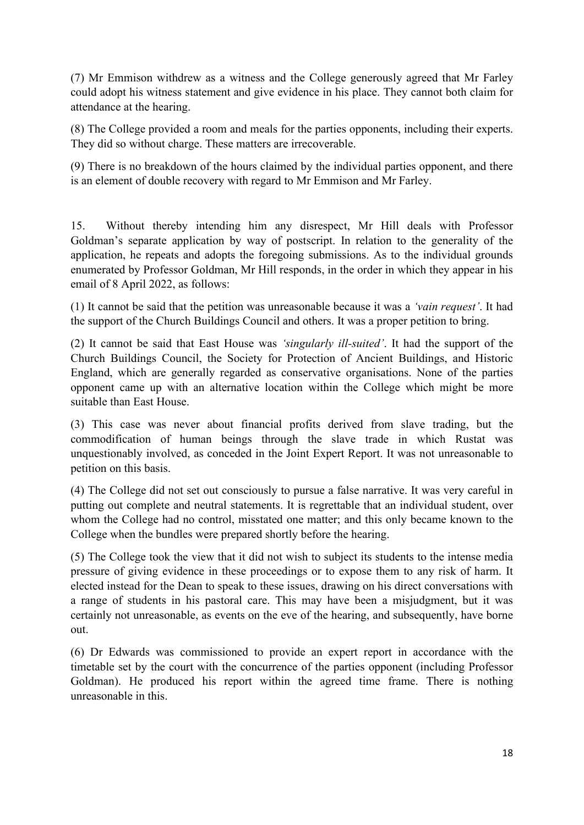(7) Mr Emmison withdrew as a witness and the College generously agreed that Mr Farley could adopt his witness statement and give evidence in his place. They cannot both claim for attendance at the hearing.

(8) The College provided a room and meals for the parties opponents, including their experts. They did so without charge. These matters are irrecoverable.

(9) There is no breakdown of the hours claimed by the individual parties opponent, and there is an element of double recovery with regard to Mr Emmison and Mr Farley.

15. Without thereby intending him any disrespect, Mr Hill deals with Professor Goldman's separate application by way of postscript. In relation to the generality of the application, he repeats and adopts the foregoing submissions. As to the individual grounds enumerated by Professor Goldman, Mr Hill responds, in the order in which they appear in his email of 8 April 2022, as follows:

(1) It cannot be said that the petition was unreasonable because it was a *'vain request'*. It had the support of the Church Buildings Council and others. It was a proper petition to bring.

(2) It cannot be said that East House was *'singularly ill-suited'*. It had the support of the Church Buildings Council, the Society for Protection of Ancient Buildings, and Historic England, which are generally regarded as conservative organisations. None of the parties opponent came up with an alternative location within the College which might be more suitable than East House.

(3) This case was never about financial profits derived from slave trading, but the commodification of human beings through the slave trade in which Rustat was unquestionably involved, as conceded in the Joint Expert Report. It was not unreasonable to petition on this basis.

(4) The College did not set out consciously to pursue a false narrative. It was very careful in putting out complete and neutral statements. It is regrettable that an individual student, over whom the College had no control, misstated one matter; and this only became known to the College when the bundles were prepared shortly before the hearing.

(5) The College took the view that it did not wish to subject its students to the intense media pressure of giving evidence in these proceedings or to expose them to any risk of harm. It elected instead for the Dean to speak to these issues, drawing on his direct conversations with a range of students in his pastoral care. This may have been a misjudgment, but it was certainly not unreasonable, as events on the eve of the hearing, and subsequently, have borne out.

(6) Dr Edwards was commissioned to provide an expert report in accordance with the timetable set by the court with the concurrence of the parties opponent (including Professor Goldman). He produced his report within the agreed time frame. There is nothing unreasonable in this.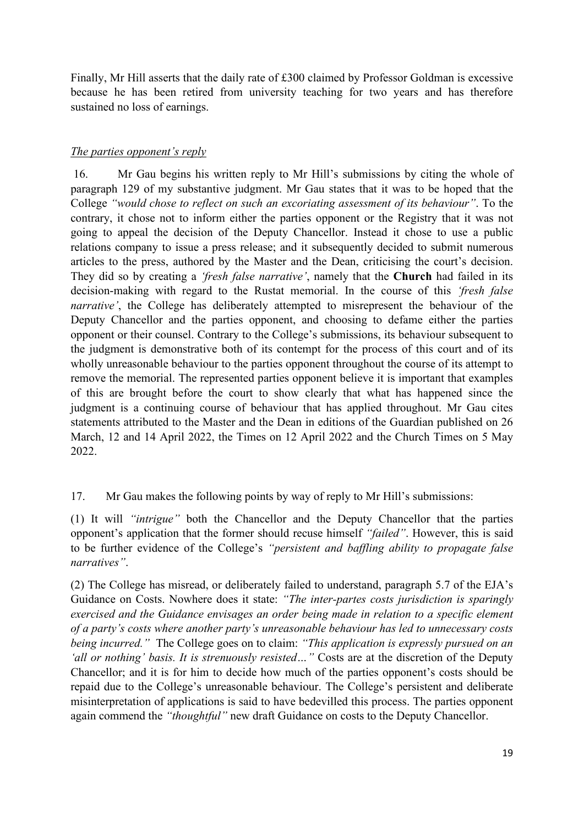Finally, Mr Hill asserts that the daily rate of £300 claimed by Professor Goldman is excessive because he has been retired from university teaching for two years and has therefore sustained no loss of earnings.

## *The parties opponent's reply*

 16. Mr Gau begins his written reply to Mr Hill's submissions by citing the whole of paragraph 129 of my substantive judgment. Mr Gau states that it was to be hoped that the College *"would chose to reflect on such an excoriating assessment of its behaviour"*. To the contrary, it chose not to inform either the parties opponent or the Registry that it was not going to appeal the decision of the Deputy Chancellor. Instead it chose to use a public relations company to issue a press release; and it subsequently decided to submit numerous articles to the press, authored by the Master and the Dean, criticising the court's decision. They did so by creating a *'fresh false narrative'*, namely that the **Church** had failed in its decision-making with regard to the Rustat memorial. In the course of this *'fresh false narrative'*, the College has deliberately attempted to misrepresent the behaviour of the Deputy Chancellor and the parties opponent, and choosing to defame either the parties opponent or their counsel. Contrary to the College's submissions, its behaviour subsequent to the judgment is demonstrative both of its contempt for the process of this court and of its wholly unreasonable behaviour to the parties opponent throughout the course of its attempt to remove the memorial. The represented parties opponent believe it is important that examples of this are brought before the court to show clearly that what has happened since the judgment is a continuing course of behaviour that has applied throughout. Mr Gau cites statements attributed to the Master and the Dean in editions of the Guardian published on 26 March, 12 and 14 April 2022, the Times on 12 April 2022 and the Church Times on 5 May 2022.

### 17. Mr Gau makes the following points by way of reply to Mr Hill's submissions:

(1) It will *"intrigue"* both the Chancellor and the Deputy Chancellor that the parties opponent's application that the former should recuse himself *"failed"*. However, this is said to be further evidence of the College's *"persistent and baffling ability to propagate false narratives"*.

(2) The College has misread, or deliberately failed to understand, paragraph 5.7 of the EJA's Guidance on Costs. Nowhere does it state: *"The inter-partes costs jurisdiction is sparingly exercised and the Guidance envisages an order being made in relation to a specific element of a party's costs where another party's unreasonable behaviour has led to unnecessary costs being incurred."* The College goes on to claim: *"This application is expressly pursued on an 'all or nothing' basis. It is strenuously resisted…"* Costs are at the discretion of the Deputy Chancellor; and it is for him to decide how much of the parties opponent's costs should be repaid due to the College's unreasonable behaviour. The College's persistent and deliberate misinterpretation of applications is said to have bedevilled this process. The parties opponent again commend the *"thoughtful"* new draft Guidance on costs to the Deputy Chancellor.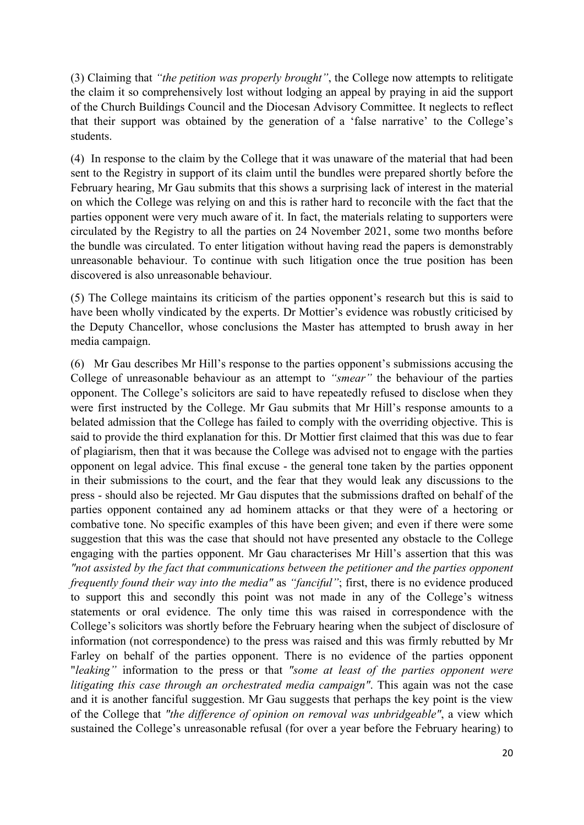(3) Claiming that *"the petition was properly brought"*, the College now attempts to relitigate the claim it so comprehensively lost without lodging an appeal by praying in aid the support of the Church Buildings Council and the Diocesan Advisory Committee. It neglects to reflect that their support was obtained by the generation of a 'false narrative' to the College's students.

(4) In response to the claim by the College that it was unaware of the material that had been sent to the Registry in support of its claim until the bundles were prepared shortly before the February hearing, Mr Gau submits that this shows a surprising lack of interest in the material on which the College was relying on and this is rather hard to reconcile with the fact that the parties opponent were very much aware of it. In fact, the materials relating to supporters were circulated by the Registry to all the parties on 24 November 2021, some two months before the bundle was circulated. To enter litigation without having read the papers is demonstrably unreasonable behaviour. To continue with such litigation once the true position has been discovered is also unreasonable behaviour.

(5) The College maintains its criticism of the parties opponent's research but this is said to have been wholly vindicated by the experts. Dr Mottier's evidence was robustly criticised by the Deputy Chancellor, whose conclusions the Master has attempted to brush away in her media campaign.

(6) Mr Gau describes Mr Hill's response to the parties opponent's submissions accusing the College of unreasonable behaviour as an attempt to *"smear"* the behaviour of the parties opponent. The College's solicitors are said to have repeatedly refused to disclose when they were first instructed by the College. Mr Gau submits that Mr Hill's response amounts to a belated admission that the College has failed to comply with the overriding objective. This is said to provide the third explanation for this. Dr Mottier first claimed that this was due to fear of plagiarism, then that it was because the College was advised not to engage with the parties opponent on legal advice. This final excuse - the general tone taken by the parties opponent in their submissions to the court, and the fear that they would leak any discussions to the press - should also be rejected. Mr Gau disputes that the submissions drafted on behalf of the parties opponent contained any ad hominem attacks or that they were of a hectoring or combative tone. No specific examples of this have been given; and even if there were some suggestion that this was the case that should not have presented any obstacle to the College engaging with the parties opponent. Mr Gau characterises Mr Hill's assertion that this was *"not assisted by the fact that communications between the petitioner and the parties opponent frequently found their way into the media"* as *"fanciful"*; first, there is no evidence produced to support this and secondly this point was not made in any of the College's witness statements or oral evidence. The only time this was raised in correspondence with the College's solicitors was shortly before the February hearing when the subject of disclosure of information (not correspondence) to the press was raised and this was firmly rebutted by Mr Farley on behalf of the parties opponent. There is no evidence of the parties opponent "*leaking"* information to the press or that *"some at least of the parties opponent were litigating this case through an orchestrated media campaign"*. This again was not the case and it is another fanciful suggestion. Mr Gau suggests that perhaps the key point is the view of the College that *"the difference of opinion on removal was unbridgeable"*, a view which sustained the College's unreasonable refusal (for over a year before the February hearing) to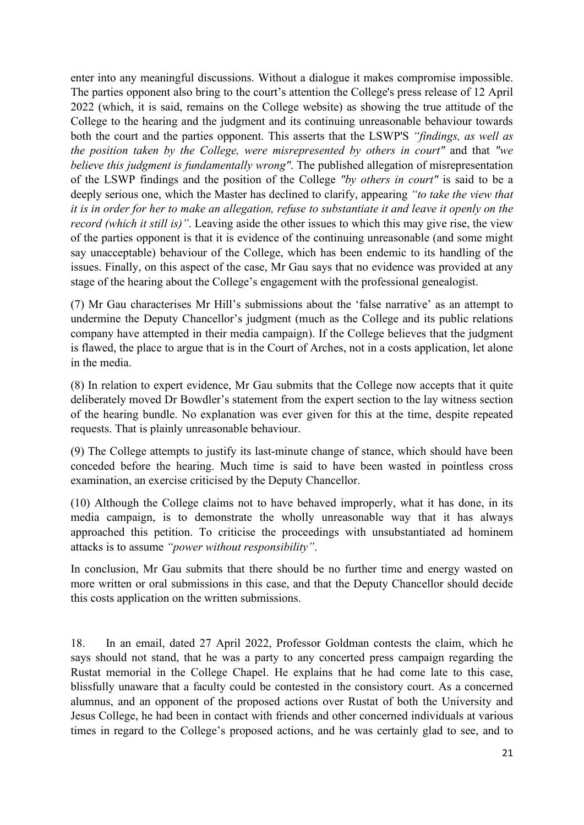enter into any meaningful discussions. Without a dialogue it makes compromise impossible. The parties opponent also bring to the court's attention the College's press release of 12 April 2022 (which, it is said, remains on the College website) as showing the true attitude of the College to the hearing and the judgment and its continuing unreasonable behaviour towards both the court and the parties opponent. This asserts that the LSWP'S *"findings, as well as the position taken by the College, were misrepresented by others in court"* and that *"we believe this judgment is fundamentally wrong"*. The published allegation of misrepresentation of the LSWP findings and the position of the College *"by others in court"* is said to be a deeply serious one, which the Master has declined to clarify, appearing *"to take the view that it is in order for her to make an allegation, refuse to substantiate it and leave it openly on the record (which it still is)"*. Leaving aside the other issues to which this may give rise, the view of the parties opponent is that it is evidence of the continuing unreasonable (and some might say unacceptable) behaviour of the College, which has been endemic to its handling of the issues. Finally, on this aspect of the case, Mr Gau says that no evidence was provided at any stage of the hearing about the College's engagement with the professional genealogist.

(7) Mr Gau characterises Mr Hill's submissions about the 'false narrative' as an attempt to undermine the Deputy Chancellor's judgment (much as the College and its public relations company have attempted in their media campaign). If the College believes that the judgment is flawed, the place to argue that is in the Court of Arches, not in a costs application, let alone in the media.

(8) In relation to expert evidence, Mr Gau submits that the College now accepts that it quite deliberately moved Dr Bowdler's statement from the expert section to the lay witness section of the hearing bundle. No explanation was ever given for this at the time, despite repeated requests. That is plainly unreasonable behaviour.

(9) The College attempts to justify its last-minute change of stance, which should have been conceded before the hearing. Much time is said to have been wasted in pointless cross examination, an exercise criticised by the Deputy Chancellor.

(10) Although the College claims not to have behaved improperly, what it has done, in its media campaign, is to demonstrate the wholly unreasonable way that it has always approached this petition. To criticise the proceedings with unsubstantiated ad hominem attacks is to assume *"power without responsibility"*.

In conclusion, Mr Gau submits that there should be no further time and energy wasted on more written or oral submissions in this case, and that the Deputy Chancellor should decide this costs application on the written submissions.

18. In an email, dated 27 April 2022, Professor Goldman contests the claim, which he says should not stand, that he was a party to any concerted press campaign regarding the Rustat memorial in the College Chapel. He explains that he had come late to this case, blissfully unaware that a faculty could be contested in the consistory court. As a concerned alumnus, and an opponent of the proposed actions over Rustat of both the University and Jesus College, he had been in contact with friends and other concerned individuals at various times in regard to the College's proposed actions, and he was certainly glad to see, and to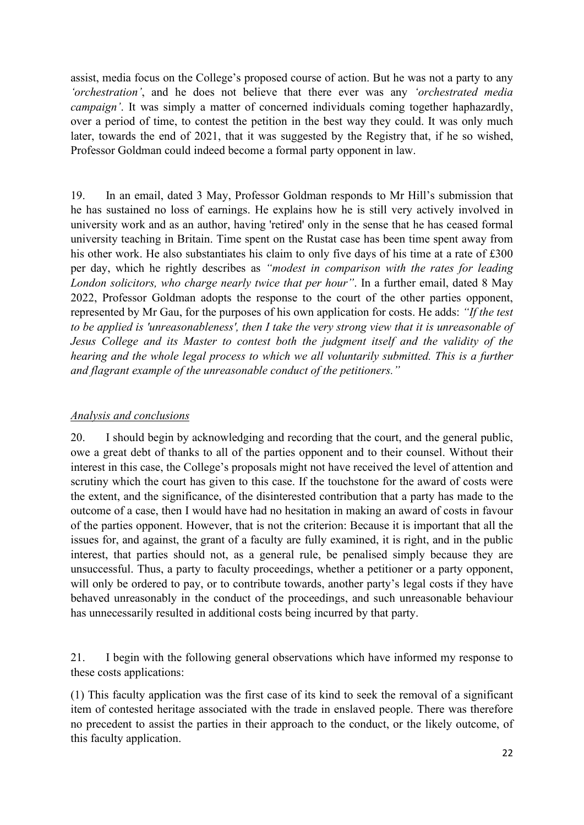assist, media focus on the College's proposed course of action. But he was not a party to any *'orchestration'*, and he does not believe that there ever was any *'orchestrated media campaign'*. It was simply a matter of concerned individuals coming together haphazardly, over a period of time, to contest the petition in the best way they could. It was only much later, towards the end of 2021, that it was suggested by the Registry that, if he so wished, Professor Goldman could indeed become a formal party opponent in law.

19. In an email, dated 3 May, Professor Goldman responds to Mr Hill's submission that he has sustained no loss of earnings. He explains how he is still very actively involved in university work and as an author, having 'retired' only in the sense that he has ceased formal university teaching in Britain. Time spent on the Rustat case has been time spent away from his other work. He also substantiates his claim to only five days of his time at a rate of £300 per day, which he rightly describes as *"modest in comparison with the rates for leading London solicitors, who charge nearly twice that per hour"*. In a further email, dated 8 May 2022, Professor Goldman adopts the response to the court of the other parties opponent, represented by Mr Gau, for the purposes of his own application for costs. He adds: *"If the test to be applied is 'unreasonableness', then I take the very strong view that it is unreasonable of Jesus College and its Master to contest both the judgment itself and the validity of the hearing and the whole legal process to which we all voluntarily submitted. This is a further and flagrant example of the unreasonable conduct of the petitioners."* 

#### *Analysis and conclusions*

20. I should begin by acknowledging and recording that the court, and the general public, owe a great debt of thanks to all of the parties opponent and to their counsel. Without their interest in this case, the College's proposals might not have received the level of attention and scrutiny which the court has given to this case. If the touchstone for the award of costs were the extent, and the significance, of the disinterested contribution that a party has made to the outcome of a case, then I would have had no hesitation in making an award of costs in favour of the parties opponent. However, that is not the criterion: Because it is important that all the issues for, and against, the grant of a faculty are fully examined, it is right, and in the public interest, that parties should not, as a general rule, be penalised simply because they are unsuccessful. Thus, a party to faculty proceedings, whether a petitioner or a party opponent, will only be ordered to pay, or to contribute towards, another party's legal costs if they have behaved unreasonably in the conduct of the proceedings, and such unreasonable behaviour has unnecessarily resulted in additional costs being incurred by that party.

21. I begin with the following general observations which have informed my response to these costs applications:

(1) This faculty application was the first case of its kind to seek the removal of a significant item of contested heritage associated with the trade in enslaved people. There was therefore no precedent to assist the parties in their approach to the conduct, or the likely outcome, of this faculty application.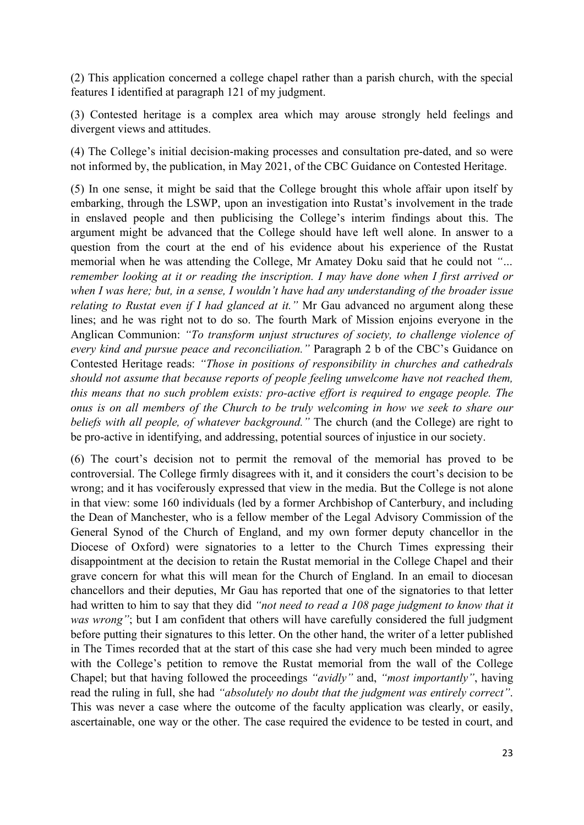(2) This application concerned a college chapel rather than a parish church, with the special features I identified at paragraph 121 of my judgment.

(3) Contested heritage is a complex area which may arouse strongly held feelings and divergent views and attitudes.

(4) The College's initial decision-making processes and consultation pre-dated, and so were not informed by, the publication, in May 2021, of the CBC Guidance on Contested Heritage.

(5) In one sense, it might be said that the College brought this whole affair upon itself by embarking, through the LSWP, upon an investigation into Rustat's involvement in the trade in enslaved people and then publicising the College's interim findings about this. The argument might be advanced that the College should have left well alone. In answer to a question from the court at the end of his evidence about his experience of the Rustat memorial when he was attending the College, Mr Amatey Doku said that he could not *"… remember looking at it or reading the inscription. I may have done when I first arrived or when I was here; but, in a sense, I wouldn't have had any understanding of the broader issue relating to Rustat even if I had glanced at it.*" Mr Gau advanced no argument along these lines; and he was right not to do so. The fourth Mark of Mission enjoins everyone in the Anglican Communion: *"To transform unjust structures of society, to challenge violence of every kind and pursue peace and reconciliation."* Paragraph 2 b of the CBC's Guidance on Contested Heritage reads: *"Those in positions of responsibility in churches and cathedrals should not assume that because reports of people feeling unwelcome have not reached them, this means that no such problem exists: pro-active effort is required to engage people. The onus is on all members of the Church to be truly welcoming in how we seek to share our beliefs with all people, of whatever background."* The church (and the College) are right to be pro-active in identifying, and addressing, potential sources of injustice in our society.

(6) The court's decision not to permit the removal of the memorial has proved to be controversial. The College firmly disagrees with it, and it considers the court's decision to be wrong; and it has vociferously expressed that view in the media. But the College is not alone in that view: some 160 individuals (led by a former Archbishop of Canterbury, and including the Dean of Manchester, who is a fellow member of the Legal Advisory Commission of the General Synod of the Church of England, and my own former deputy chancellor in the Diocese of Oxford) were signatories to a letter to the Church Times expressing their disappointment at the decision to retain the Rustat memorial in the College Chapel and their grave concern for what this will mean for the Church of England. In an email to diocesan chancellors and their deputies, Mr Gau has reported that one of the signatories to that letter had written to him to say that they did *"not need to read a 108 page judgment to know that it was wrong*"; but I am confident that others will have carefully considered the full judgment before putting their signatures to this letter. On the other hand, the writer of a letter published in The Times recorded that at the start of this case she had very much been minded to agree with the College's petition to remove the Rustat memorial from the wall of the College Chapel; but that having followed the proceedings *"avidly"* and, *"most importantly"*, having read the ruling in full, she had *"absolutely no doubt that the judgment was entirely correct"*. This was never a case where the outcome of the faculty application was clearly, or easily, ascertainable, one way or the other. The case required the evidence to be tested in court, and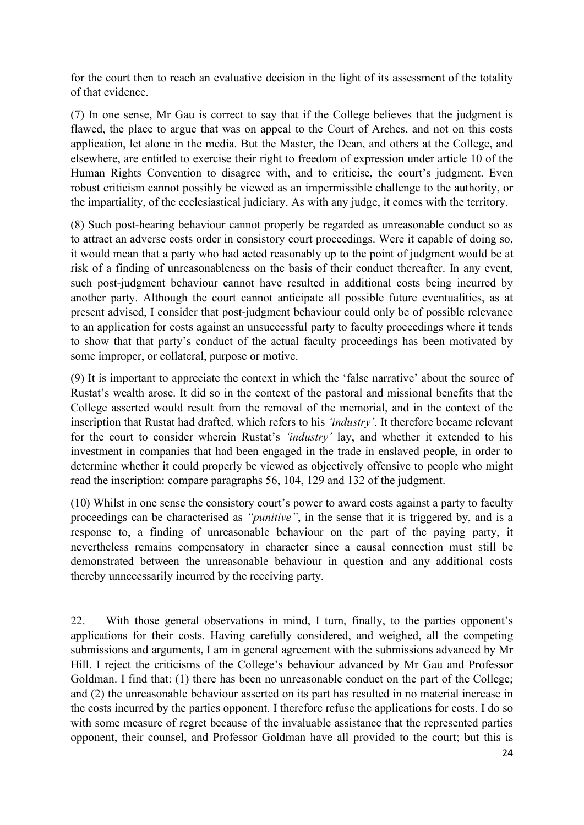for the court then to reach an evaluative decision in the light of its assessment of the totality of that evidence.

(7) In one sense, Mr Gau is correct to say that if the College believes that the judgment is flawed, the place to argue that was on appeal to the Court of Arches, and not on this costs application, let alone in the media. But the Master, the Dean, and others at the College, and elsewhere, are entitled to exercise their right to freedom of expression under article 10 of the Human Rights Convention to disagree with, and to criticise, the court's judgment. Even robust criticism cannot possibly be viewed as an impermissible challenge to the authority, or the impartiality, of the ecclesiastical judiciary. As with any judge, it comes with the territory.

(8) Such post-hearing behaviour cannot properly be regarded as unreasonable conduct so as to attract an adverse costs order in consistory court proceedings. Were it capable of doing so, it would mean that a party who had acted reasonably up to the point of judgment would be at risk of a finding of unreasonableness on the basis of their conduct thereafter. In any event, such post-judgment behaviour cannot have resulted in additional costs being incurred by another party. Although the court cannot anticipate all possible future eventualities, as at present advised, I consider that post-judgment behaviour could only be of possible relevance to an application for costs against an unsuccessful party to faculty proceedings where it tends to show that that party's conduct of the actual faculty proceedings has been motivated by some improper, or collateral, purpose or motive.

(9) It is important to appreciate the context in which the 'false narrative' about the source of Rustat's wealth arose. It did so in the context of the pastoral and missional benefits that the College asserted would result from the removal of the memorial, and in the context of the inscription that Rustat had drafted, which refers to his *'industry'*. It therefore became relevant for the court to consider wherein Rustat's *'industry'* lay, and whether it extended to his investment in companies that had been engaged in the trade in enslaved people, in order to determine whether it could properly be viewed as objectively offensive to people who might read the inscription: compare paragraphs 56, 104, 129 and 132 of the judgment.

(10) Whilst in one sense the consistory court's power to award costs against a party to faculty proceedings can be characterised as *"punitive"*, in the sense that it is triggered by, and is a response to, a finding of unreasonable behaviour on the part of the paying party, it nevertheless remains compensatory in character since a causal connection must still be demonstrated between the unreasonable behaviour in question and any additional costs thereby unnecessarily incurred by the receiving party.

22. With those general observations in mind, I turn, finally, to the parties opponent's applications for their costs. Having carefully considered, and weighed, all the competing submissions and arguments, I am in general agreement with the submissions advanced by Mr Hill. I reject the criticisms of the College's behaviour advanced by Mr Gau and Professor Goldman. I find that: (1) there has been no unreasonable conduct on the part of the College; and (2) the unreasonable behaviour asserted on its part has resulted in no material increase in the costs incurred by the parties opponent. I therefore refuse the applications for costs. I do so with some measure of regret because of the invaluable assistance that the represented parties opponent, their counsel, and Professor Goldman have all provided to the court; but this is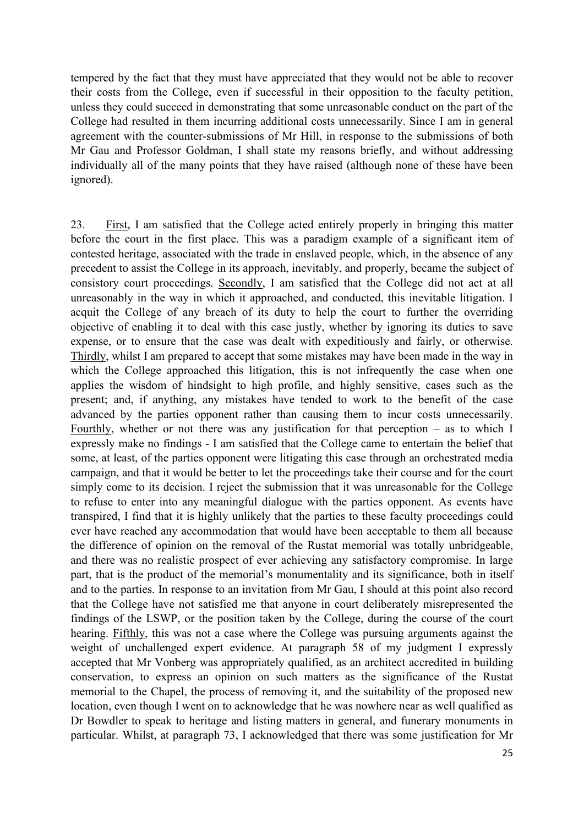tempered by the fact that they must have appreciated that they would not be able to recover their costs from the College, even if successful in their opposition to the faculty petition, unless they could succeed in demonstrating that some unreasonable conduct on the part of the College had resulted in them incurring additional costs unnecessarily. Since I am in general agreement with the counter-submissions of Mr Hill, in response to the submissions of both Mr Gau and Professor Goldman, I shall state my reasons briefly, and without addressing individually all of the many points that they have raised (although none of these have been ignored).

23. First, I am satisfied that the College acted entirely properly in bringing this matter before the court in the first place. This was a paradigm example of a significant item of contested heritage, associated with the trade in enslaved people, which, in the absence of any precedent to assist the College in its approach, inevitably, and properly, became the subject of consistory court proceedings. Secondly, I am satisfied that the College did not act at all unreasonably in the way in which it approached, and conducted, this inevitable litigation. I acquit the College of any breach of its duty to help the court to further the overriding objective of enabling it to deal with this case justly, whether by ignoring its duties to save expense, or to ensure that the case was dealt with expeditiously and fairly, or otherwise. Thirdly, whilst I am prepared to accept that some mistakes may have been made in the way in which the College approached this litigation, this is not infrequently the case when one applies the wisdom of hindsight to high profile, and highly sensitive, cases such as the present; and, if anything, any mistakes have tended to work to the benefit of the case advanced by the parties opponent rather than causing them to incur costs unnecessarily. Fourthly, whether or not there was any justification for that perception – as to which I expressly make no findings - I am satisfied that the College came to entertain the belief that some, at least, of the parties opponent were litigating this case through an orchestrated media campaign, and that it would be better to let the proceedings take their course and for the court simply come to its decision. I reject the submission that it was unreasonable for the College to refuse to enter into any meaningful dialogue with the parties opponent. As events have transpired, I find that it is highly unlikely that the parties to these faculty proceedings could ever have reached any accommodation that would have been acceptable to them all because the difference of opinion on the removal of the Rustat memorial was totally unbridgeable, and there was no realistic prospect of ever achieving any satisfactory compromise. In large part, that is the product of the memorial's monumentality and its significance, both in itself and to the parties. In response to an invitation from Mr Gau, I should at this point also record that the College have not satisfied me that anyone in court deliberately misrepresented the findings of the LSWP, or the position taken by the College, during the course of the court hearing. Fifthly, this was not a case where the College was pursuing arguments against the weight of unchallenged expert evidence. At paragraph 58 of my judgment I expressly accepted that Mr Vonberg was appropriately qualified, as an architect accredited in building conservation, to express an opinion on such matters as the significance of the Rustat memorial to the Chapel, the process of removing it, and the suitability of the proposed new location, even though I went on to acknowledge that he was nowhere near as well qualified as Dr Bowdler to speak to heritage and listing matters in general, and funerary monuments in particular. Whilst, at paragraph 73, I acknowledged that there was some justification for Mr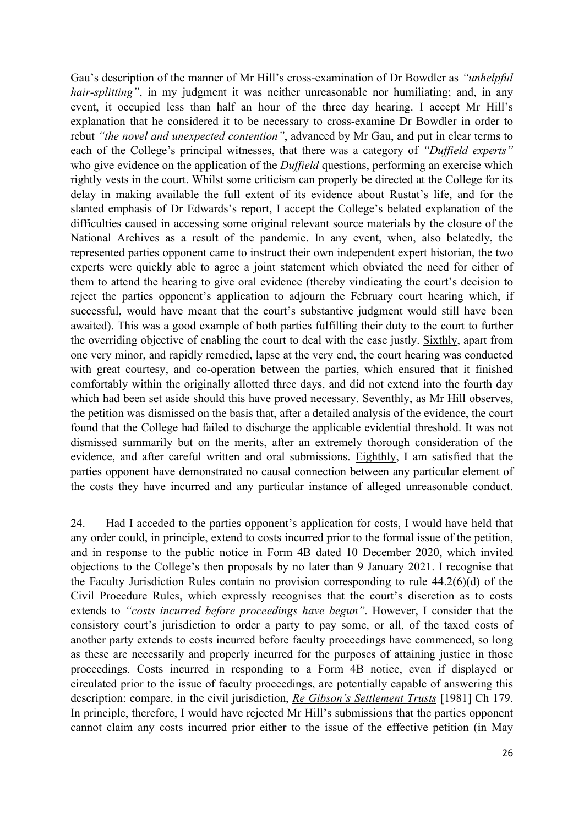Gau's description of the manner of Mr Hill's cross-examination of Dr Bowdler as *"unhelpful hair-splitting*", in my judgment it was neither unreasonable nor humiliating; and, in any event, it occupied less than half an hour of the three day hearing. I accept Mr Hill's explanation that he considered it to be necessary to cross-examine Dr Bowdler in order to rebut *"the novel and unexpected contention"*, advanced by Mr Gau, and put in clear terms to each of the College's principal witnesses, that there was a category of *"Duffield experts"* who give evidence on the application of the *Duffield* questions, performing an exercise which rightly vests in the court. Whilst some criticism can properly be directed at the College for its delay in making available the full extent of its evidence about Rustat's life, and for the slanted emphasis of Dr Edwards's report, I accept the College's belated explanation of the difficulties caused in accessing some original relevant source materials by the closure of the National Archives as a result of the pandemic. In any event, when, also belatedly, the represented parties opponent came to instruct their own independent expert historian, the two experts were quickly able to agree a joint statement which obviated the need for either of them to attend the hearing to give oral evidence (thereby vindicating the court's decision to reject the parties opponent's application to adjourn the February court hearing which, if successful, would have meant that the court's substantive judgment would still have been awaited). This was a good example of both parties fulfilling their duty to the court to further the overriding objective of enabling the court to deal with the case justly. Sixthly, apart from one very minor, and rapidly remedied, lapse at the very end, the court hearing was conducted with great courtesy, and co-operation between the parties, which ensured that it finished comfortably within the originally allotted three days, and did not extend into the fourth day which had been set aside should this have proved necessary. Seventhly, as Mr Hill observes, the petition was dismissed on the basis that, after a detailed analysis of the evidence, the court found that the College had failed to discharge the applicable evidential threshold. It was not dismissed summarily but on the merits, after an extremely thorough consideration of the evidence, and after careful written and oral submissions. Eighthly, I am satisfied that the parties opponent have demonstrated no causal connection between any particular element of the costs they have incurred and any particular instance of alleged unreasonable conduct.

24. Had I acceded to the parties opponent's application for costs, I would have held that any order could, in principle, extend to costs incurred prior to the formal issue of the petition, and in response to the public notice in Form 4B dated 10 December 2020, which invited objections to the College's then proposals by no later than 9 January 2021. I recognise that the Faculty Jurisdiction Rules contain no provision corresponding to rule 44.2(6)(d) of the Civil Procedure Rules, which expressly recognises that the court's discretion as to costs extends to *"costs incurred before proceedings have begun"*. However, I consider that the consistory court's jurisdiction to order a party to pay some, or all, of the taxed costs of another party extends to costs incurred before faculty proceedings have commenced, so long as these are necessarily and properly incurred for the purposes of attaining justice in those proceedings. Costs incurred in responding to a Form 4B notice, even if displayed or circulated prior to the issue of faculty proceedings, are potentially capable of answering this description: compare, in the civil jurisdiction, *Re Gibson's Settlement Trusts* [1981] Ch 179. In principle, therefore, I would have rejected Mr Hill's submissions that the parties opponent cannot claim any costs incurred prior either to the issue of the effective petition (in May